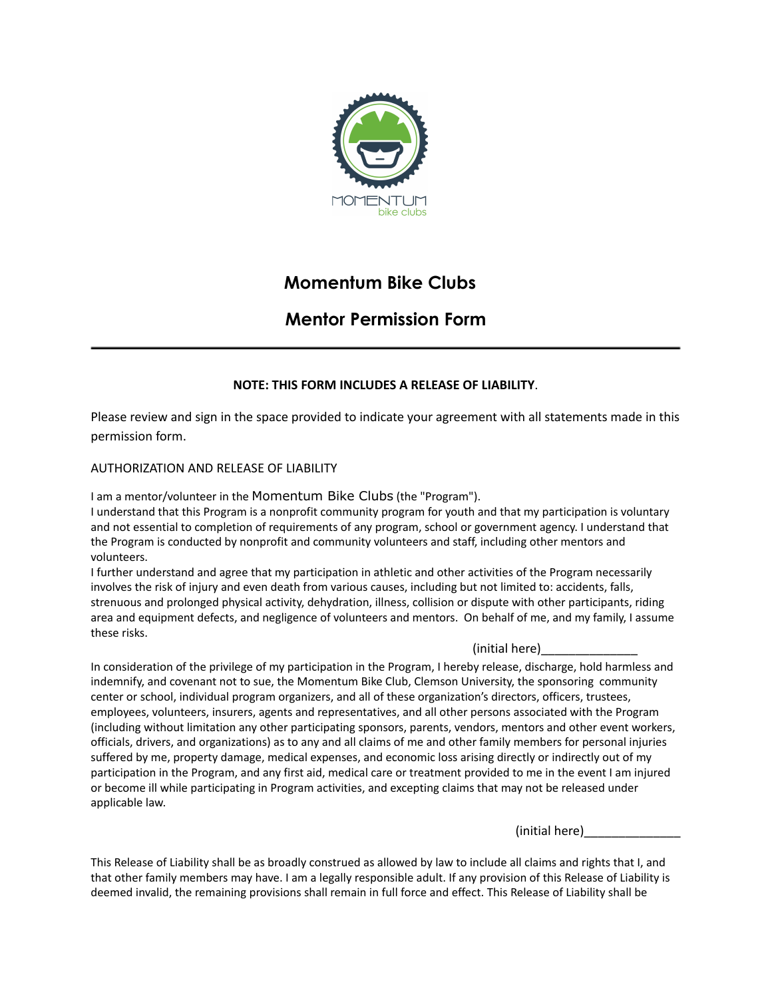

# **Momentum Bike Clubs**

# **Mentor Permission Form**

# **NOTE: THIS FORM INCLUDES A RELEASE OF LIABILITY**.

Please review and sign in the space provided to indicate your agreement with all statements made in this permission form.

## AUTHORIZATION AND RELEASE OF LIABILITY

I am a mentor/volunteer in the Momentum Bike Clubs (the "Program").

I understand that this Program is a nonprofit community program for youth and that my participation is voluntary and not essential to completion of requirements of any program, school or government agency. I understand that the Program is conducted by nonprofit and community volunteers and staff, including other mentors and volunteers.

I further understand and agree that my participation in athletic and other activities of the Program necessarily involves the risk of injury and even death from various causes, including but not limited to: accidents, falls, strenuous and prolonged physical activity, dehydration, illness, collision or dispute with other participants, riding area and equipment defects, and negligence of volunteers and mentors. On behalf of me, and my family, I assume these risks.

### (initial here)\_\_\_\_\_\_\_\_\_\_\_\_\_\_

In consideration of the privilege of my participation in the Program, I hereby release, discharge, hold harmless and indemnify, and covenant not to sue, the Momentum Bike Club, Clemson University, the sponsoring community center or school, individual program organizers, and all of these organization's directors, officers, trustees, employees, volunteers, insurers, agents and representatives, and all other persons associated with the Program (including without limitation any other participating sponsors, parents, vendors, mentors and other event workers, officials, drivers, and organizations) as to any and all claims of me and other family members for personal injuries suffered by me, property damage, medical expenses, and economic loss arising directly or indirectly out of my participation in the Program, and any first aid, medical care or treatment provided to me in the event I am injured or become ill while participating in Program activities, and excepting claims that may not be released under applicable law.

(initial here)

This Release of Liability shall be as broadly construed as allowed by law to include all claims and rights that I, and that other family members may have. I am a legally responsible adult. If any provision of this Release of Liability is deemed invalid, the remaining provisions shall remain in full force and effect. This Release of Liability shall be